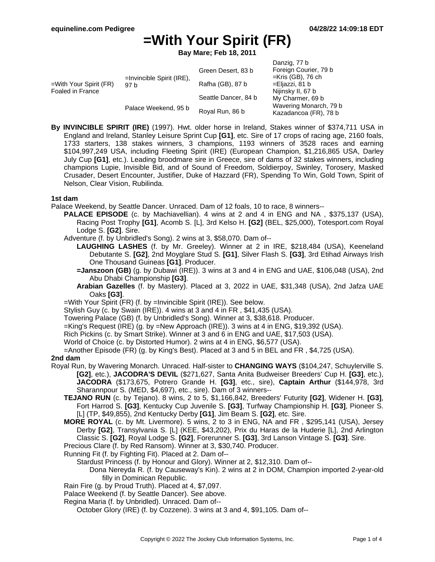**Bay Mare; Feb 18, 2011**

|                                            |                                      |                      | Danzig, 77 b                                                                                                                                                |
|--------------------------------------------|--------------------------------------|----------------------|-------------------------------------------------------------------------------------------------------------------------------------------------------------|
| =With Your Spirit (FR)<br>Foaled in France | $=$ Invincible Spirit (IRE),<br>97 b | Green Desert, 83 b   | Foreign Courier, 79 b<br>$=$ Kris (GB), 76 ch<br>=Eljazzi, 81 b<br>Nijinsky II, 67 b<br>My Charmer, 69 b<br>Wavering Monarch, 79 b<br>Kazadancoa (FR), 78 b |
|                                            |                                      | Rafha (GB), 87 b     |                                                                                                                                                             |
|                                            |                                      | Seattle Dancer, 84 b |                                                                                                                                                             |
|                                            | Palace Weekend, 95 b                 | Royal Run, 86 b      |                                                                                                                                                             |

**By INVINCIBLE SPIRIT (IRE)** (1997). Hwt. older horse in Ireland, Stakes winner of \$374,711 USA in England and Ireland, Stanley Leisure Sprint Cup **[G1]**, etc. Sire of 17 crops of racing age, 2160 foals, 1733 starters, 138 stakes winners, 3 champions, 1193 winners of 3528 races and earning \$104,997,249 USA, including Fleeting Spirit (IRE) (European Champion, \$1,216,865 USA, Darley July Cup **[G1]**, etc.). Leading broodmare sire in Greece, sire of dams of 32 stakes winners, including champions Lupie, Invisible Bid, and of Sound of Freedom, Soldierpoy, Swinley, Torosery, Masked Crusader, Desert Encounter, Justifier, Duke of Hazzard (FR), Spending To Win, Gold Town, Spirit of Nelson, Clear Vision, Rubilinda.

### **1st dam**

Palace Weekend, by Seattle Dancer. Unraced. Dam of 12 foals, 10 to race, 8 winners--

- **PALACE EPISODE** (c. by Machiavellian). 4 wins at 2 and 4 in ENG and NA , \$375,137 (USA), Racing Post Trophy **[G1]**, Acomb S. [L], 3rd Kelso H. **[G2]** (BEL, \$25,000), Totesport.com Royal Lodge S. **[G2]**. Sire.
- Adventure (f. by Unbridled's Song). 2 wins at 3, \$58,070. Dam of--
	- **LAUGHING LASHES** (f. by Mr. Greeley). Winner at 2 in IRE, \$218,484 (USA), Keeneland Debutante S. **[G2]**, 2nd Moyglare Stud S. **[G1]**, Silver Flash S. **[G3]**, 3rd Etihad Airways Irish One Thousand Guineas **[G1]**. Producer.
	- **=Janszoon (GB)** (g. by Dubawi (IRE)). 3 wins at 3 and 4 in ENG and UAE, \$106,048 (USA), 2nd Abu Dhabi Championship **[G3]**.
	- **Arabian Gazelles** (f. by Mastery). Placed at 3, 2022 in UAE, \$31,348 (USA), 2nd Jafza UAE Oaks **[G3]**.
- =With Your Spirit (FR) (f. by =Invincible Spirit (IRE)). See below.

Stylish Guy (c. by Swain (IRE)). 4 wins at 3 and 4 in FR , \$41,435 (USA).

Towering Palace (GB) (f. by Unbridled's Song). Winner at 3, \$38,618. Producer.

=King's Request (IRE) (g. by =New Approach (IRE)). 3 wins at 4 in ENG, \$19,392 (USA).

Rich Pickins (c. by Smart Strike). Winner at 3 and 6 in ENG and UAE, \$17,503 (USA).

World of Choice (c. by Distorted Humor). 2 wins at 4 in ENG, \$6,577 (USA).

=Another Episode (FR) (g. by King's Best). Placed at 3 and 5 in BEL and FR , \$4,725 (USA).

#### **2nd dam**

- Royal Run, by Wavering Monarch. Unraced. Half-sister to **CHANGING WAYS** (\$104,247, Schuylerville S. **[G2]**, etc.), **JACODRA'S DEVIL** (\$271,627, Santa Anita Budweiser Breeders' Cup H. **[G3]**, etc.), **JACODRA** (\$173,675, Potrero Grande H. **[G3]**, etc., sire), **Captain Arthur** (\$144,978, 3rd Sharannpour S. (MED, \$4,697), etc., sire). Dam of 3 winners--
	- **TEJANO RUN** (c. by Tejano). 8 wins, 2 to 5, \$1,166,842, Breeders' Futurity **[G2]**, Widener H. **[G3]**, Fort Harrod S. **[G3]**, Kentucky Cup Juvenile S. **[G3]**, Turfway Championship H. **[G3]**, Pioneer S. [L] (TP, \$49,855), 2nd Kentucky Derby **[G1]**, Jim Beam S. **[G2]**, etc. Sire.
	- **MORE ROYAL** (c. by Mt. Livermore). 5 wins, 2 to 3 in ENG, NA and FR , \$295,141 (USA), Jersey Derby **[G2]**, Transylvania S. [L] (KEE, \$43,202), Prix du Haras de la Huderie [L], 2nd Arlington Classic S. **[G2]**, Royal Lodge S. **[G2]**, Forerunner S. **[G3]**, 3rd Lanson Vintage S. **[G3]**. Sire.

Precious Clare (f. by Red Ransom). Winner at 3, \$30,740. Producer.

Running Fit (f. by Fighting Fit). Placed at 2. Dam of--

Stardust Princess (f. by Honour and Glory). Winner at 2, \$12,310. Dam of--

Dona Nereyda R. (f. by Causeway's Kin). 2 wins at 2 in DOM, Champion imported 2-year-old filly in Dominican Republic.

Rain Fire (g. by Proud Truth). Placed at 4, \$7,097.

Palace Weekend (f. by Seattle Dancer). See above.

Regina Maria (f. by Unbridled). Unraced. Dam of--

October Glory (IRE) (f. by Cozzene). 3 wins at 3 and 4, \$91,105. Dam of--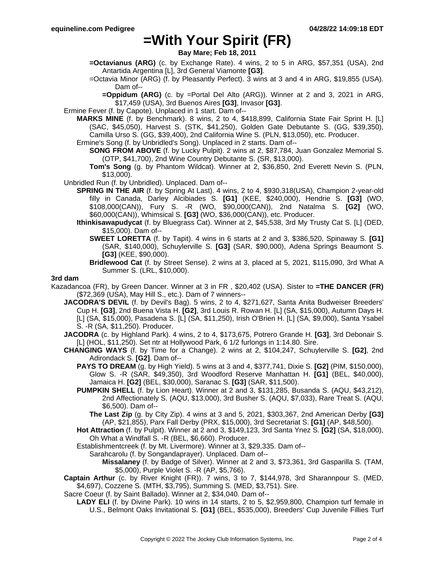**Bay Mare; Feb 18, 2011**

- **=Octavianus (ARG)** (c. by Exchange Rate). 4 wins, 2 to 5 in ARG, \$57,351 (USA), 2nd Antartida Argentina [L], 3rd General Viamonte **[G3]**.
- =Octavia Minor (ARG) (f. by Pleasantly Perfect). 3 wins at 3 and 4 in ARG, \$19,855 (USA). Dam of--
	- **=Oppidum (ARG)** (c. by =Portal Del Alto (ARG)). Winner at 2 and 3, 2021 in ARG, \$17,459 (USA), 3rd Buenos Aires **[G3]**, Invasor **[G3]**.
- Ermine Fever (f. by Capote). Unplaced in 1 start. Dam of--
	- **MARKS MINE** (f. by Benchmark). 8 wins, 2 to 4, \$418,899, California State Fair Sprint H. [L] (SAC, \$45,050), Harvest S. (STK, \$41,250), Golden Gate Debutante S. (GG, \$39,350), Camilla Urso S. (GG, \$39,400), 2nd California Wine S. (PLN, \$13,050), etc. Producer.
		- Ermine's Song (f. by Unbridled's Song). Unplaced in 2 starts. Dam of--
			- **SONG FROM ABOVE** (f. by Lucky Pulpit). 2 wins at 2, \$87,784, Juan Gonzalez Memorial S. (OTP, \$41,700), 2nd Wine Country Debutante S. (SR, \$13,000).
			- **Tom's Song** (g. by Phantom Wildcat). Winner at 2, \$36,850, 2nd Everett Nevin S. (PLN, \$13,000).
- Unbridled Run (f. by Unbridled). Unplaced. Dam of--
	- **SPRING IN THE AIR** (f. by Spring At Last). 4 wins, 2 to 4, \$930,318(USA), Champion 2-year-old filly in Canada, Darley Alcibiades S. **[G1]** (KEE, \$240,000), Hendrie S. **[G3]** (WO, \$108,000(CAN)), Fury S. -R (WO, \$90,000(CAN)), 2nd Natalma S. **[G2]** (WO, \$60,000(CAN)), Whimsical S. **[G3]** (WO, \$36,000(CAN)), etc. Producer.
	- **Ithinkisawapudycat** (f. by Bluegrass Cat). Winner at 2, \$45,538, 3rd My Trusty Cat S. [L] (DED, \$15,000). Dam of--
		- **SWEET LORETTA** (f. by Tapit). 4 wins in 6 starts at 2 and 3, \$386,520, Spinaway S. **[G1]** (SAR, \$140,000), Schuylerville S. **[G3]** (SAR, \$90,000), Adena Springs Beaumont S. **[G3]** (KEE, \$90,000).
		- **Bridlewood Cat** (f. by Street Sense). 2 wins at 3, placed at 5, 2021, \$115,090, 3rd What A Summer S. (LRL, \$10,000).

#### **3rd dam**

- Kazadancoa (FR), by Green Dancer. Winner at 3 in FR , \$20,402 (USA). Sister to **=THE DANCER (FR)** (\$72,369 (USA), May Hill S., etc.). Dam of 7 winners--
	- **JACODRA'S DEVIL** (f. by Devil's Bag). 5 wins, 2 to 4, \$271,627, Santa Anita Budweiser Breeders' Cup H. **[G3]**, 2nd Buena Vista H. **[G2]**, 3rd Louis R. Rowan H. [L] (SA, \$15,000), Autumn Days H. [L] (SA, \$15,000), Pasadena S. [L] (SA, \$11,250), Irish O'Brien H. [L] (SA, \$9,000), Santa Ysabel S. -R (SA, \$11,250). Producer.
	- **JACODRA** (c. by Highland Park). 4 wins, 2 to 4, \$173,675, Potrero Grande H. **[G3]**, 3rd Debonair S. [L] (HOL, \$11,250). Set ntr at Hollywood Park, 6 1/2 furlongs in 1:14.80. Sire.
	- **CHANGING WAYS** (f. by Time for a Change). 2 wins at 2, \$104,247, Schuylerville S. **[G2]**, 2nd Adirondack S. **[G2]**. Dam of--
		- **PAYS TO DREAM** (g. by High Yield). 5 wins at 3 and 4, \$377,741, Dixie S. **[G2]** (PIM, \$150,000), Glow S. -R (SAR, \$49,350), 3rd Woodford Reserve Manhattan H. **[G1]** (BEL, \$40,000), Jamaica H. **[G2]** (BEL, \$30,000), Saranac S. **[G3]** (SAR, \$11,500).
		- **PUMPKIN SHELL** (f. by Lion Heart). Winner at 2 and 3, \$131,285, Busanda S. (AQU, \$43,212), 2nd Affectionately S. (AQU, \$13,000), 3rd Busher S. (AQU, \$7,033), Rare Treat S. (AQU, \$6,500). Dam of--
			- **The Last Zip** (g. by City Zip). 4 wins at 3 and 5, 2021, \$303,367, 2nd American Derby **[G3]** (AP, \$21,855), Parx Fall Derby (PRX, \$15,000), 3rd Secretariat S. **[G1]** (AP, \$48,500).
		- **Hot Attraction** (f. by Pulpit). Winner at 2 and 3, \$149,123, 3rd Santa Ynez S. **[G2]** (SA, \$18,000), Oh What a Windfall S. -R (BEL, \$6,660). Producer.
		- Establishmentcreek (f. by Mt. Livermore). Winner at 3, \$29,335. Dam of--
			- Sarahcarolu (f. by Songandaprayer). Unplaced. Dam of--
				- **Missalaney** (f. by Badge of Silver). Winner at 2 and 3, \$73,361, 3rd Gasparilla S. (TAM, \$5,000), Purple Violet S. -R (AP, \$5,766).
	- **Captain Arthur** (c. by River Knight (FR)). 7 wins, 3 to 7, \$144,978, 3rd Sharannpour S. (MED, \$4,697), Cozzene S. (MTH, \$3,795), Summing S. (MED, \$3,751). Sire.
	- Sacre Coeur (f. by Saint Ballado). Winner at 2, \$34,040. Dam of--
		- **LADY ELI** (f. by Divine Park). 10 wins in 14 starts, 2 to 5, \$2,959,800, Champion turf female in U.S., Belmont Oaks Invitational S. **[G1]** (BEL, \$535,000), Breeders' Cup Juvenile Fillies Turf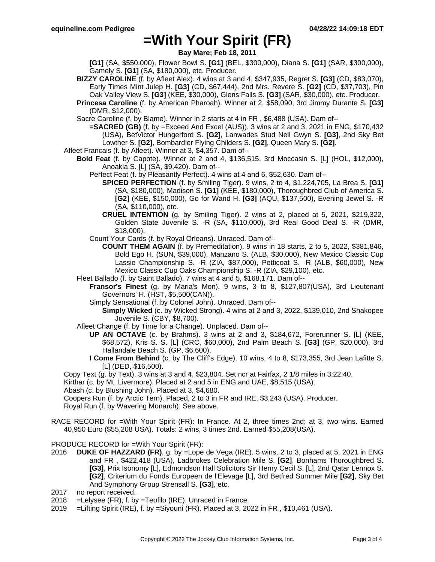**Bay Mare; Feb 18, 2011**

**[G1]** (SA, \$550,000), Flower Bowl S. **[G1]** (BEL, \$300,000), Diana S. **[G1]** (SAR, \$300,000), Gamely S. **[G1]** (SA, \$180,000), etc. Producer.

- **BIZZY CAROLINE** (f. by Afleet Alex). 4 wins at 3 and 4, \$347,935, Regret S. **[G3]** (CD, \$83,070), Early Times Mint Julep H. **[G3]** (CD, \$67,444), 2nd Mrs. Revere S. **[G2]** (CD, \$37,703), Pin Oak Valley View S. **[G3]** (KEE, \$30,000), Glens Falls S. **[G3]** (SAR, \$30,000), etc. Producer.
- **Princesa Caroline** (f. by American Pharoah). Winner at 2, \$58,090, 3rd Jimmy Durante S. **[G3]** (DMR, \$12,000).
- Sacre Caroline (f. by Blame). Winner in 2 starts at 4 in FR , \$6,488 (USA). Dam of--
	- **=SACRED (GB)** (f. by =Exceed And Excel (AUS)). 3 wins at 2 and 3, 2021 in ENG, \$170,432 (USA), BetVictor Hungerford S. **[G2]**, Lanwades Stud Nell Gwyn S. **[G3]**, 2nd Sky Bet Lowther S. **[G2]**, Bombardier Flying Childers S. **[G2]**, Queen Mary S. **[G2]**.
- Afleet Francais (f. by Afleet). Winner at 3, \$4,357. Dam of--
- **Bold Feat** (f. by Capote). Winner at 2 and 4, \$136,515, 3rd Moccasin S. [L] (HOL, \$12,000), Anoakia S. [L] (SA, \$9,420). Dam of--
	- Perfect Feat (f. by Pleasantly Perfect). 4 wins at 4 and 6, \$52,630. Dam of--
		- **SPICED PERFECTION** (f. by Smiling Tiger). 9 wins, 2 to 4, \$1,224,705, La Brea S. **[G1]** (SA, \$180,000), Madison S. **[G1]** (KEE, \$180,000), Thoroughbred Club of America S. **[G2]** (KEE, \$150,000), Go for Wand H. **[G3]** (AQU, \$137,500), Evening Jewel S. -R (SA, \$110,000), etc.
		- **CRUEL INTENTION** (g. by Smiling Tiger). 2 wins at 2, placed at 5, 2021, \$219,322, Golden State Juvenile S. -R (SA, \$110,000), 3rd Real Good Deal S. -R (DMR, \$18,000).
	- Count Your Cards (f. by Royal Orleans). Unraced. Dam of--
		- **COUNT THEM AGAIN** (f. by Premeditation). 9 wins in 18 starts, 2 to 5, 2022, \$381,846, Bold Ego H. (SUN, \$39,000), Manzano S. (ALB, \$30,000), New Mexico Classic Cup Lassie Championship S. -R (ZIA, \$87,000), Petticoat S. -R (ALB, \$60,000), New Mexico Classic Cup Oaks Championship S. -R (ZIA, \$29,100), etc.
	- Fleet Ballado (f. by Saint Ballado). 7 wins at 4 and 5, \$168,171. Dam of--
		- **Fransor's Finest** (g. by Maria's Mon). 9 wins, 3 to 8, \$127,807(USA), 3rd Lieutenant Governors' H. (HST, \$5,500(CAN)).
			- Simply Sensational (f. by Colonel John). Unraced. Dam of--
				- **Simply Wicked** (c. by Wicked Strong). 4 wins at 2 and 3, 2022, \$139,010, 2nd Shakopee Juvenile S. (CBY, \$8,700).
	- Afleet Change (f. by Time for a Change). Unplaced. Dam of--
		- **UP AN OCTAVE** (c. by Brahms). 3 wins at 2 and 3, \$184,672, Forerunner S. [L] (KEE, \$68,572), Kris S. S. [L] (CRC, \$60,000), 2nd Palm Beach S. **[G3]** (GP, \$20,000), 3rd Hallandale Beach S. (GP, \$6,600).
		- **I Come From Behind** (c. by The Cliff's Edge). 10 wins, 4 to 8, \$173,355, 3rd Jean Lafitte S. [L] (DED, \$16,500).
- Copy Text (g. by Text). 3 wins at 3 and 4, \$23,804. Set ncr at Fairfax, 2 1/8 miles in 3:22.40.
- Kirthar (c. by Mt. Livermore). Placed at 2 and 5 in ENG and UAE, \$8,515 (USA).
- Abash (c. by Blushing John). Placed at 3, \$4,680.
- Coopers Run (f. by Arctic Tern). Placed, 2 to 3 in FR and IRE, \$3,243 (USA). Producer.

Royal Run (f. by Wavering Monarch). See above.

RACE RECORD for =With Your Spirit (FR): In France. At 2, three times 2nd; at 3, two wins. Earned 40,950 Euro (\$55,208 USA). Totals: 2 wins, 3 times 2nd. Earned \$55,208(USA).

PRODUCE RECORD for =With Your Spirit (FR):

- 2016 **DUKE OF HAZZARD (FR)**, g. by =Lope de Vega (IRE). 5 wins, 2 to 3, placed at 5, 2021 in ENG and FR , \$422,418 (USA), Ladbrokes Celebration Mile S. **[G2]**, Bonhams Thoroughbred S. **[G3]**, Prix Isonomy [L], Edmondson Hall Solicitors Sir Henry Cecil S. [L], 2nd Qatar Lennox S. **[G2]**, Criterium du Fonds Europeen de l'Elevage [L], 3rd Betfred Summer Mile **[G2]**, Sky Bet And Symphony Group Strensall S. **[G3]**, etc.
- 2017 no report received.
- 2018 =Lelysee (FR), f. by =Teofilo (IRE). Unraced in France.
- 2019 =Lifting Spirit (IRE), f. by =Siyouni (FR). Placed at 3, 2022 in FR , \$10,461 (USA).